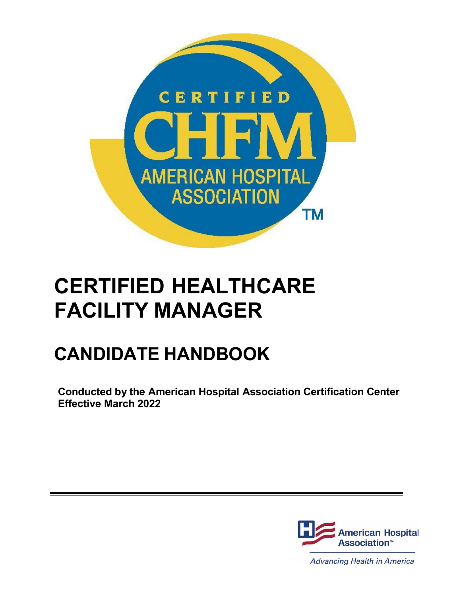

# **CERTIFIED HEALTHCARE FACILITY MANAGER**

# **CANDIDATE HANDBOOK**

**Conducted by the American Hospital Association Certification Center Effective March 2022**



**Advancing Health in America**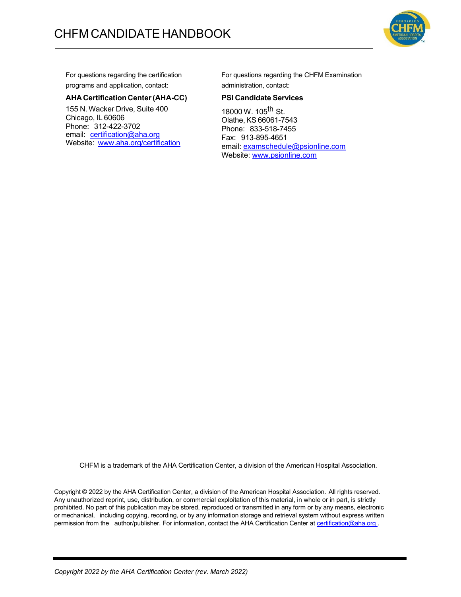

For questions regarding the certification programs and application, contact:

#### **AHACertification Center(AHA-CC)**

155 N. Wacker Drive, Suite 400 Chicago, IL 60606 Phone: 312-422-3702 email: [certification@aha.org](mailto:certification@aha.org) Website: [www.aha.org/certification](http://www.aha.org/certification) For questions regarding the CHFM Examination administration, contact:

#### **PSI Candidate Services**

18000 W. 105<sup>th</sup> St. Olathe, KS 66061-7543 Phone: 833-518-7455 Fax: 913-895-4651 email: [examschedule@psionline.com](mailto:examschedule@psionline.com) Website: [www.psionline.com](http://www.psionline.com/)

CHFM is a trademark of the AHA Certification Center, a division of the American Hospital Association.

Copyright © 2022 by the AHA Certification Center, a division of the American Hospital Association. All rights reserved. Any unauthorized reprint, use, distribution, or commercial exploitation of this material, in whole or in part, is strictly prohibited. No part of this publication may be stored, reproduced or transmitted in any form or by any means, electronic or mechanical, including copying, recording, or by any information storage and retrieval system without express written permission from the author/publisher. For information, contact the AHA Certification Center at [certification@aha.org](mailto:certification@aha.org) .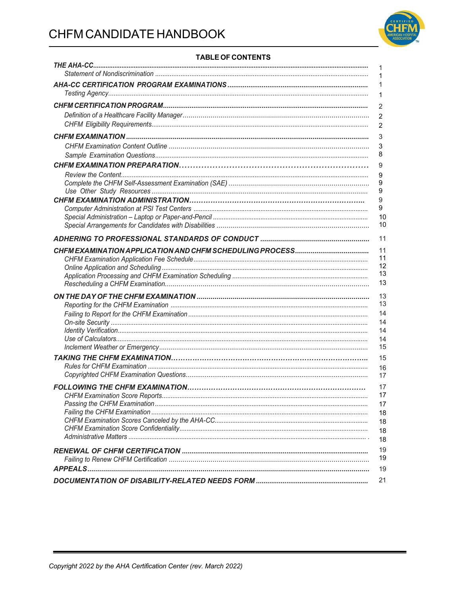

#### **TABLE OF CONTENTS**

| 1              |
|----------------|
| 1              |
| 1              |
| 1              |
| $\overline{2}$ |
| $\overline{2}$ |
| $\overline{2}$ |
| 3              |
| 3              |
| 8              |
| 9              |
| 9              |
| 9              |
| 9              |
| 9              |
| 9              |
| 10             |
| 10             |
| 11             |
| 11             |
| 11             |
| 12             |
| 13             |
| 13             |
| 13             |
| 13             |
| 14             |
| 14             |
| 14             |
| 14<br>15       |
|                |
| 15             |
| 16<br>17       |
|                |
| 17<br>17       |
| 17             |
| 18             |
| 18             |
| 18             |
| 18             |
| 19             |
| 19             |
| 19             |
| 21             |
|                |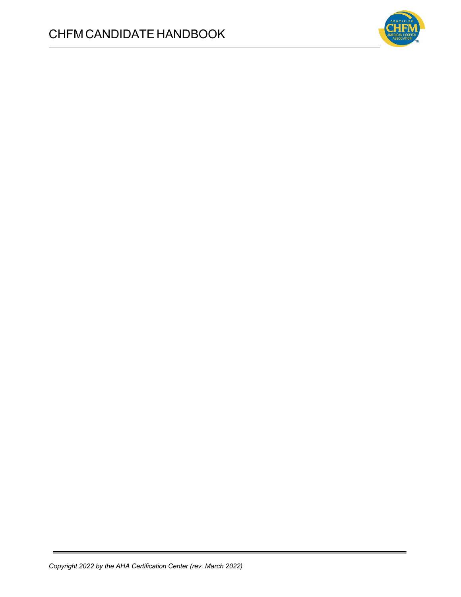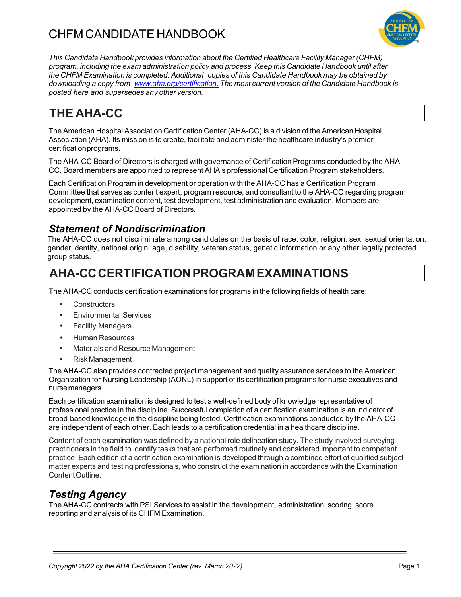

*This Candidate Handbook provides information about the Certified Healthcare Facility Manager (CHFM) program, including the exam administration policy and process. Keep this Candidate Handbook until after the CHFM Examination is completed. Additional copies of this Candidate Handbook may be obtained by downloading a copy from [www.aha.org/certification](http://www.aha.org/certification.)*. *The most current version of the Candidate Handbook is posted here and supersedes any other version.*

# **THE AHA-CC**

The American Hospital Association Certification Center (AHA-CC) is a division of the American Hospital Association (AHA). Its mission is to create, facilitate and administer the healthcare industry's premier certificationprograms.

The AHA-CC Board of Directors is charged with governance of Certification Programs conducted by the AHA-CC. Board members are appointed to represent AHA's professional Certification Program stakeholders.

Each Certification Program in development or operation with the AHA-CC has a Certification Program Committee that serves as content expert, program resource, and consultant to the AHA-CC regarding program development, examination content, test development, test administration and evaluation. Members are appointed by the AHA-CC Board of Directors.

### *Statement of Nondiscrimination*

The AHA-CC does not discriminate among candidates on the basis of race, color, religion, sex, sexual orientation, gender identity, national origin, age, disability, veteran status, genetic information or any other legally protected group status.

# **AHA-CCCERTIFICATIONPROGRAMEXAMINATIONS**

The AHA-CC conducts certification examinations for programs in the following fields of health care:

- Constructors
- Environmental Services
- Facility Managers
- Human Resources
- Materials and Resource Management
- RiskManagement

The AHA-CC also provides contracted project management and quality assurance services to the American Organization for Nursing Leadership (AONL) in support of its certification programs for nurse executives and nursemanagers.

Each certification examination is designed to test a well-defined body of knowledge representative of professional practice in the discipline. Successful completion of a certification examination is an indicator of broad-based knowledge in the discipline being tested. Certification examinations conducted by the AHA-CC are independent of each other. Each leads to a certification credential in a healthcare discipline.

Content of each examination was defined by a national role delineation study. The study involved surveying practitioners in the field to identify tasks that are performed routinely and considered important to competent practice. Each edition of a certification examination is developed through a combined effort of qualified subjectmatter experts and testing professionals, who construct the examination in accordance with the Examination ContentOutline.

### *Testing Agency*

The AHA-CC contracts with PSI Services to assist in the development, administration, scoring, score reporting and analysis of its CHFM Examination.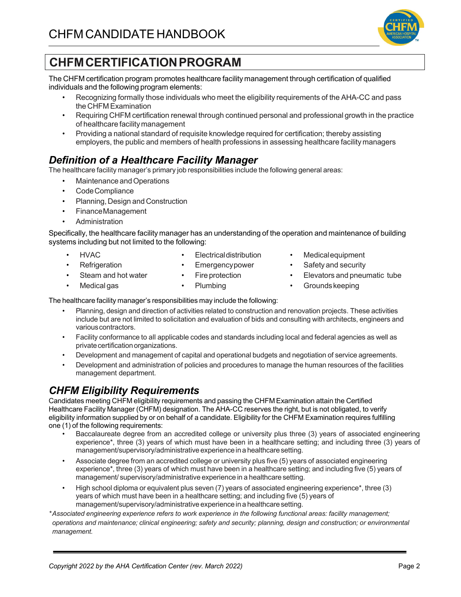

# **CHFMCERTIFICATIONPROGRAM**

The CHFM certification program promotes healthcare facility management through certification of qualified individuals and the following program elements:

- Recognizing formally those individuals who meet the eligibility requirements of the AHA-CC and pass the CHFM Examination
- Requiring CHFM certification renewal through continued personal and professional growth in the practice of healthcare facilitymanagement
- Providing a national standard of requisite knowledge required for certification; thereby assisting employers, the public and members of health professions in assessing healthcare facility managers

# *Definition of a Healthcare Facility Manager*

The healthcare facility manager's primary job responsibilities include the following general areas:

- Maintenance and Operations
- Code Compliance
- Planning, Design and Construction
- FinanceManagement
- **Administration**

Specifically, the healthcare facility manager has an understanding of the operation and maintenance of building systems including but not limited to the following:

- 
- HVAC Electricaldistribution Medicalequipment
- 
- 
- -
- 
- **Refrigeration Emergencypower Safety and security**
- Steam and hot water Fireprotection Elevators and pneumatic tube
- Medical gas Plumbing Groundskeeping

The healthcare facility manager's responsibilities may include the following:

- Planning, design and direction of activities related to construction and renovation projects. These activities include but are not limited to solicitation and evaluation of bids and consulting with architects, engineers and variouscontractors.
- Facility conformance to all applicable codes and standards including local and federal agencies as well as private certification organizations.
- Development and management of capital and operational budgets and negotiation of service agreements.
- Development and administration of policies and procedures to manage the human resources of the facilities management department.

# *CHFM Eligibility Requirements*

Candidates meeting CHFM eligibility requirements and passing the CHFM Examination attain the Certified Healthcare Facility Manager (CHFM) designation. The AHA-CC reserves the right, but is not obligated, to verify eligibility information supplied by or on behalf of a candidate. Eligibility for the CHFM Examination requires fulfilling one (1) of the following requirements:

- Baccalaureate degree from an accredited college or university plus three (3) years of associated engineering experience\*, three (3) years of which must have been in a healthcare setting; and including three (3) years of management/supervisory/administrative experience in a healthcare setting.
- Associate degree from an accredited college or university plus five (5) years of associated engineering experience\*, three (3) years of which must have been in a healthcare setting; and including five (5) years of management/ supervisory/administrative experience in a healthcare setting.
- High school diploma or equivalent plus seven (7) years of associated engineering experience\*, three (3) years of which must have been in a healthcare setting; and including five (5) years of management/supervisory/administrative experience in a healthcare setting.

*\* Associated engineering experience refers to work experience in the following functional areas: facility management; operations and maintenance; clinical engineering; safety and security; planning, design and construction; or environmental management.*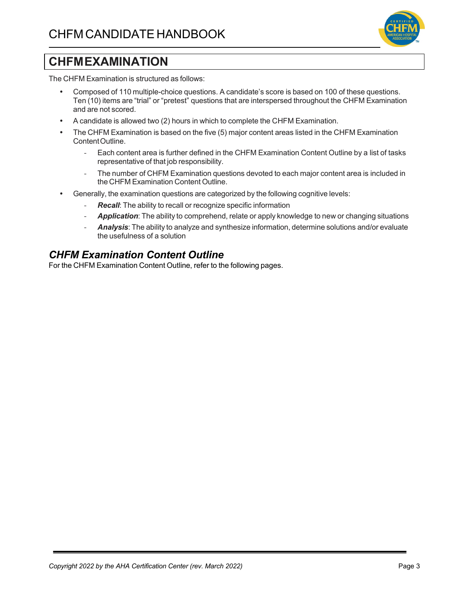

# **CHFMEXAMINATION**

The CHFM Examination is structured as follows:

- Composed of 110 multiple-choice questions. A candidate's score is based on 100 of these questions. Ten (10) items are "trial" or "pretest" questions that are interspersed throughout the CHFM Examination and are not scored.
- A candidate is allowed two (2) hours in which to complete the CHFM Examination.
- The CHFM Examination is based on the five (5) major content areas listed in the CHFM Examination ContentOutline.
	- Each content area is further defined in the CHFM Examination Content Outline by a list of tasks representative of that job responsibility.
	- The number of CHFM Examination questions devoted to each major content area is included in the CHFM Examination Content Outline.
- Generally, the examination questions are categorized by the following cognitive levels:
	- **Recall:** The ability to recall or recognize specific information
	- *Application*: The ability to comprehend, relate or apply knowledge to new or changing situations
	- *Analysis*: The ability to analyze and synthesize information, determine solutions and/or evaluate the usefulness of a solution

### *CHFM Examination Content Outline*

For the CHFM Examination Content Outline, refer to the following pages.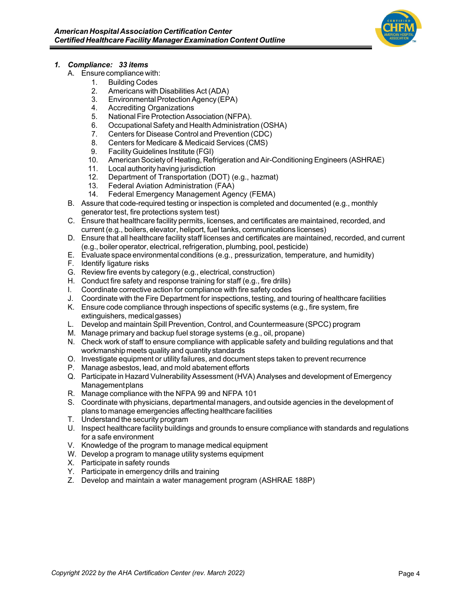

#### *1. Compliance: 33 items*

- A. Ensure compliance with:
	- 1. Building Codes<br>2. Americans with
	- 2. Americans with Disabilities Act (ADA)<br>3. Environmental Protection Agency (EP.
	- Environmental Protection Agency (EPA)
	- 4. Accrediting Organizations
	- 5. National Fire Protection Association (NFPA).
	- 6. OccupationalSafety and Health Administration (OSHA)
	- 7. Centers for Disease Control and Prevention (CDC)
	- 8. Centers for Medicare & Medicaid Services (CMS)
	- 9. Facility Guidelines Institute (FGI)<br>10. American Society of Heating, Ref
	- American Society of Heating, Refrigeration and Air-Conditioning Engineers (ASHRAE)
	- 11. Local authority having jurisdiction
	- 12. Department of Transportation (DOT) (e.g., hazmat)
	- 13. Federal Aviation Administration (FAA)<br>14. Federal Emergency Management Age
	- Federal Emergency Management Agency (FEMA)
- B. Assure that code-required testing or inspection is completed and documented (e.g., monthly generator test, fire protections system test)
- C. Ensure that healthcare facility permits, licenses, and certificates are maintained, recorded, and current (e.g., boilers, elevator, heliport, fuel tanks, communications licenses)
- D. Ensure that all healthcare facility staff licenses and certificates are maintained, recorded, and current (e.g., boiler operator, electrical, refrigeration, plumbing, pool, pesticide)
- E. Evaluate space environmental conditions (e.g., pressurization, temperature, and humidity)
- F. Identify ligature risks
- G. Review fire events by category (e.g., electrical, construction)
- H. Conduct fire safety and response training for staff (e.g., fire drills)
- I. Coordinate corrective action for compliance with fire safety codes
- J. Coordinate with the Fire Department for inspections, testing, and touring of healthcare facilities
- K. Ensure code compliance through inspections of specific systems (e.g., fire system, fire extinguishers, medical gasses)
- L. Develop and maintain Spill Prevention, Control, and Countermeasure (SPCC) program
- M. Manage primary and backup fuel storage systems (e.g., oil, propane)
- N. Check work of staff to ensure compliance with applicable safety and building regulations and that workmanship meets quality and quantity standards
- O. Investigate equipment or utility failures, and document steps taken to prevent recurrence
- P. Manage asbestos, lead, and mold abatement efforts
- Q. Participate in Hazard Vulnerability Assessment (HVA) Analyses and development of Emergency **Managementplans**
- R. Manage compliance with the NFPA 99 and NFPA 101
- S. Coordinate with physicians, departmental managers, and outside agencies in the development of plans to manage emergencies affecting healthcare facilities
- T. Understand the security program
- U. Inspect healthcare facility buildings and grounds to ensure compliance with standards and regulations for a safe environment
- V. Knowledge of the program to manage medical equipment
- W. Develop a program to manage utility systems equipment
- X. Participate in safety rounds
- Y. Participate in emergency drills and training
- Z. Develop and maintain a water management program (ASHRAE 188P)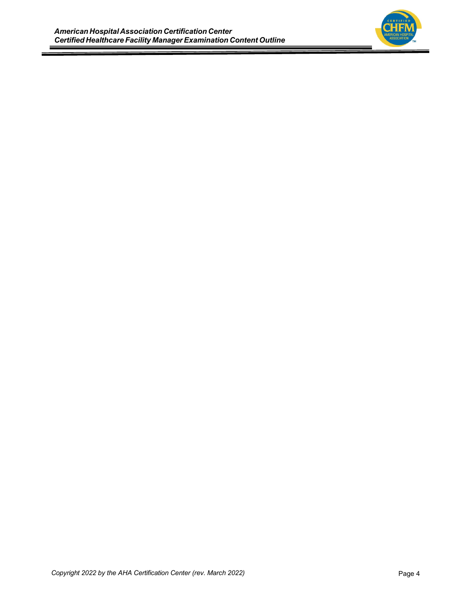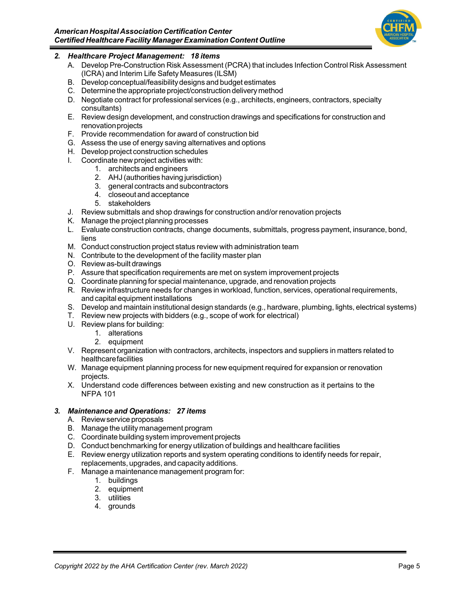

- *2. Healthcare Project Management: 18 items*
	- A. Develop Pre-Construction Risk Assessment (PCRA) that includes Infection Control Risk Assessment (ICRA) and Interim Life Safety Measures (ILSM)
	- B. Develop conceptual/feasibilitydesigns and budget estimates
	- C. Determine the appropriate project/construction delivery method
	- D. Negotiate contract for professional services (e.g., architects, engineers, contractors, specialty consultants)
	- E. Review design development, and construction drawings and specifications for construction and renovation projects
	- F. Provide recommendation for award of construction bid
	- G. Assess the use of energy saving alternatives and options
	- H. Develop project construction schedules
	- I. Coordinate new project activities with:
		- 1. architects and engineers
		- 2. AHJ (authorities having jurisdiction)
		- 3. general contracts and subcontractors
		- 4. closeout and acceptance
		- 5. stakeholders
	- J. Review submittals and shop drawings for construction and/or renovation projects
	- K. Manage the project planning processes
	- L. Evaluate construction contracts, change documents, submittals, progress payment, insurance, bond, liens
	- M. Conduct construction project status review with administration team
	- N. Contribute to the development of the facility master plan
	- O. Reviewas-built drawings
	- P. Assure that specification requirements are met on system improvement projects
	- Q. Coordinate planning for special maintenance, upgrade, and renovation projects
	- R. Review infrastructure needs for changes in workload, function, services, operationalrequirements, and capital equipment installations
	- S. Develop and maintain institutional design standards (e.g., hardware, plumbing, lights, electrical systems)
	- T. Review new projects with bidders (e.g., scope of work for electrical)
	- U. Review plans for building:
		- 1. alterations
		- 2. equipment
	- V. Represent organization with contractors, architects, inspectors and suppliers in matters related to healthcarefacilities
	- W. Manage equipment planning process for new equipment required for expansion or renovation projects.
	- X. Understand code differences between existing and new construction as it pertains to the NFPA 101

#### *3. Maintenance and Operations: 27 items*

- A. Reviewservice proposals
- B. Manage the utility management program
- C. Coordinate building system improvement projects
- D. Conduct benchmarking for energy utilization of buildings and healthcare facilities
- E. Review energy utilization reports and system operating conditions to identify needs for repair, replacements, upgrades, and capacityadditions.
- F. Manage a maintenance management program for:
	- 1. buildings
	- 2. equipment
	- 3. utilities
	- 4. grounds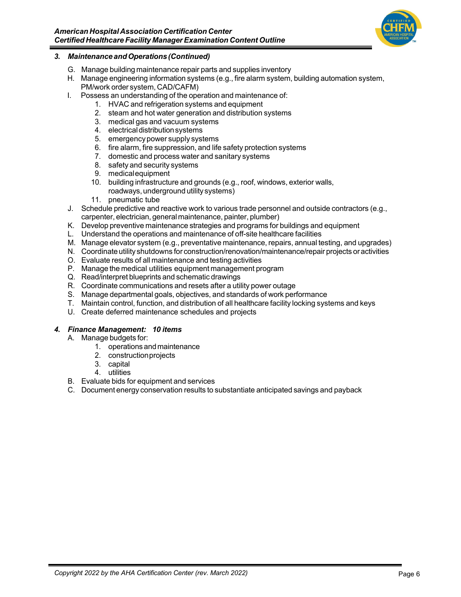

#### *3. Maintenance andOperations (Continued)*

- G. Manage building maintenance repair parts and supplies inventory
- H. Manage engineering information systems (e.g., fire alarm system, building automation system, PM/work order system, CAD/CAFM)
- I. Possess an understanding of the operation and maintenance of:
	- 1. HVAC and refrigeration systems and equipment
	- 2. steam and hot water generation and distribution systems
	- 3. medical gas and vacuum systems
	- 4. electricaldistributionsystems
	- 5. emergencypower supply systems
	- 6. fire alarm, fire suppression, and life safety protection systems
	- 7. domestic and process water and sanitary systems
	- 8. safety and security systems
	- 9. medicalequipment
	- 10. building infrastructure and grounds (e.g., roof, windows, exterior walls, roadways, underground utility systems)
	- 11. pneumatic tube
- J. Schedule predictive and reactive work to various trade personnel and outside contractors (e.g., carpenter, electrician, generalmaintenance, painter, plumber)
- K. Develop preventive maintenance strategies and programs for buildings and equipment
- L. Understand the operations and maintenance of off-site healthcare facilities
- M. Manage elevator system (e.g., preventative maintenance, repairs, annual testing, and upgrades)
- N. Coordinate utility shutdowns for construction/renovation/maintenance/repair projects or activities
- O. Evaluate results of all maintenance and testing activities
- P. Manage the medical utilities equipment management program
- Q. Read/interpret blueprints and schematic drawings
- R. Coordinate communications and resets after a utility power outage
- S. Manage departmental goals, objectives, and standards of work performance
- T. Maintain control, function, and distribution of all healthcare facility locking systems and keys
- U. Create deferred maintenance schedules and projects

#### *4. Finance Management: 10 items*

- A. Manage budgets for:
	- 1. operations andmaintenance
	- 2. constructionprojects
	- 3. capital
	- 4. utilities
- B. Evaluate bids for equipment and services
- C. Document energy conservation results to substantiate anticipated savings and payback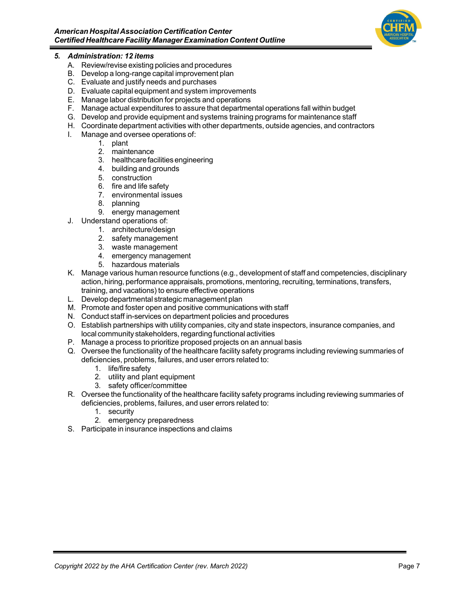

#### *5. Administration: 12 items*

- A. Review/revise existing policies and procedures
- B. Develop a long-range capital improvement plan
- C. Evaluate and justify needs and purchases
- D. Evaluate capital equipment and system improvements
- E. Manage labor distribution for projects and operations
- F. Manage actual expenditures to assure that departmental operations fall within budget
- G. Develop and provide equipment and systems training programs for maintenance staff
- H. Coordinate department activities with other departments, outside agencies, and contractors
- I. Manage and oversee operations of:
	- 1. plant
	- 2. maintenance
	- 3. healthcare facilities engineering
	- 4. building and grounds
	- 5. construction
	- 6. fire and life safety
	- 7. environmental issues
	- 8. planning
	- 9. energy management
- J. Understand operations of:
	- 1. architecture/design
	- 2. safety management
	- 3. waste management
	- 4. emergency management
	- 5. hazardous materials
- K. Manage various human resource functions (e.g., development of staff and competencies, disciplinary action, hiring, performance appraisals, promotions, mentoring, recruiting, terminations, transfers, training, and vacations) to ensure effective operations
- L. Develop departmental strategic management plan
- M. Promote and foster open and positive communications with staff
- N. Conduct staff in-services on department policies and procedures
- O. Establish partnerships with utility companies, city and state inspectors, insurance companies, and local community stakeholders, regarding functional activities
- P. Manage a process to prioritize proposed projects on an annual basis
- Q. Oversee the functionality of the healthcare facility safety programs including reviewing summaries of deficiencies, problems, failures, and user errors related to:
	- 1. life/firesafety
	- 2. utility and plant equipment
	- 3. safety officer/committee
- R. Oversee the functionality of the healthcare facility safety programs including reviewing summaries of deficiencies, problems, failures, and user errors related to:
	- 1. security
	- 2. emergency preparedness
- S. Participate in insurance inspections and claims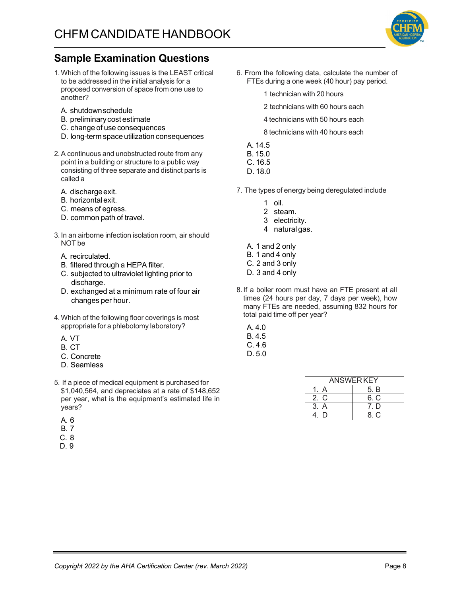

### **Sample Examination Questions**

- 1.Which of the following issues is the LEAST critical to be addressed in the initial analysis for a proposed conversion of space from one use to another?
	- A. shutdownschedule
	- B. preliminarycost estimate
	- C. change of use consequences
	- D. long-term space utilization consequences
- 2.A continuous and unobstructed route from any point in a building or structure to a public way consisting of three separate and distinct parts is called a
	- A. discharge exit.
	- B. horizontalexit.
	- C. means of egress.
	- D. common path of travel.
- 3. In an airborne infection isolation room, air should NOT be
	- A. recirculated.
	- B. filtered through a HEPA filter.
	- C. subjected to ultraviolet lighting prior to discharge.
	- D. exchanged at a minimum rate of four air changes per hour.
- 4.Which of the following floor coverings is most appropriate for a phlebotomy laboratory?
	- A. VT
	- B. CT
	- C. Concrete
	- D. Seamless
- 5. If a piece of medical equipment is purchased for \$1,040,564, and depreciates at a rate of \$148,652 per year, what is the equipment's estimated life in years?
	- A. 6
	- B. 7
	- C. 8
	- D. 9

6. From the following data, calculate the number of FTEs during a one week (40 hour) pay period.

1 technician with 20 hours

2 technicians with 60 hours each

4 technicians with 50 hours each

8 technicians with 40 hours each

A. 14.5

- B. 15.0
- C. 16.5
- D. 18.0
- 7. The types of energy being deregulated include
	- 1 oil.
	- 2 steam.
	- 3 electricity.
	- 4 natural gas.
	- A. 1 and 2 only
	- B. 1 and 4 only
	- C. 2 and 3 only
	- D. 3 and 4 only
- 8. If a boiler room must have an FTE present at all times (24 hours per day, 7 days per week), how many FTEs are needed, assuming 832 hours for total paid time off per year?
	- A. 4.0 B. 4.5
	- C. 4.6
	- D. 5.0

| <b>ANSWERKEY</b>  |      |  |
|-------------------|------|--|
| A                 | 5. B |  |
| $2. \overline{C}$ | 6. C |  |
| 3. A              | 7. D |  |
| D                 | 8 C  |  |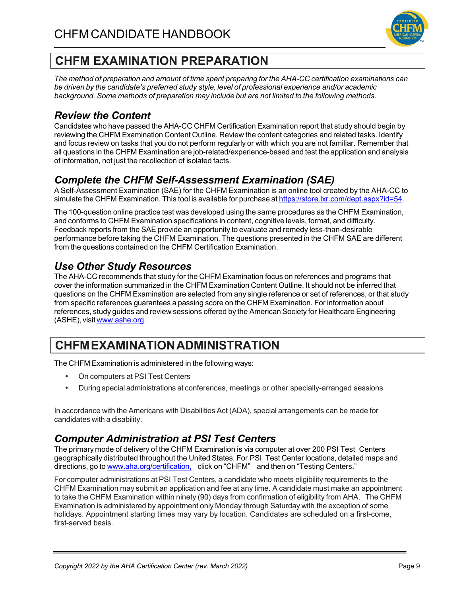

# **CHFM EXAMINATION PREPARATION**

*The method of preparation and amount of time spent preparing for the AHA-CC certification examinations can be driven by the candidate's preferred study style, level of professional experience and/or academic background. Some methods of preparation may include but are not limited to the following methods.*

### *Review the Content*

Candidates who have passed the AHA-CC CHFM Certification Examination report that study should begin by reviewing the CHFM Examination Content Outline. Review the content categories and related tasks. Identify and focus review on tasks that you do not perform regularly or with which you are not familiar. Remember that all questions in the CHFM Examination are job-related/experience-based and test the application and analysis of information, not just the recollection of isolated facts.

# *Complete the CHFM Self-Assessment Examination (SAE)*

A Self-Assessment Examination (SAE) for the CHFM Examination is an online tool created by the AHA-CC to simulate the CHFM Examination. This tool is available for purchase at [https://store.lxr.com/dept.aspx?id=54.](https://store.lxr.com/dept.aspx?id=54)

The 100-question online practice test was developed using the same procedures as the CHFM Examination, and conforms to CHFM Examination specifications in content, cognitive levels, format, and difficulty. Feedback reports from the SAE provide an opportunity to evaluate and remedy less-than-desirable performance before taking the CHFM Examination. The questions presented in the CHFM SAE are different from the questions contained on the CHFM Certification Examination.

# *Use Other Study Resources*

The AHA-CC recommends that study for the CHFM Examination focus on references and programs that cover the information summarized in the CHFM Examination Content Outline. It should not be inferred that questions on the CHFM Examination are selected from any single reference or set of references, or that study from specific references guarantees a passing score on the CHFM Examination. For information about references, study guides and review sessions offered by the American Society for Healthcare Engineering (ASHE), visit [www.ashe.org.](http://www.ashe.org/)

# **CHFMEXAMINATIONADMINISTRATION**

The CHFM Examination is administered in the following ways:

- On computers at PSI Test Centers
- During special administrations at conferences, meetings or other specially-arranged sessions

In accordance with the Americans with Disabilities Act (ADA), special arrangements can be made for candidates with a disability.

# *Computer Administration at PSI Test Centers*

The primary mode of delivery of the CHFM Examination is via computer at over 200 PSI Test Centers geographically distributed throughout the United States. For PSI Test Center locations, detailed maps and directions, go to [www.aha.org/certification,](http://www.aha.org/certification,) click on "CHFM" and then on "Testing Centers."

For computer administrations at PSI Test Centers, a candidate who meets eligibility requirements to the CHFM Examination may submit an application and fee at any time. A candidate must make an appointment to take the CHFM Examination within ninety (90) days from confirmation of eligibility from AHA. The CHFM Examination is administered by appointment only Monday through Saturday with the exception of some holidays. Appointment starting times may vary by location. Candidates are scheduled on a first-come, first-served basis.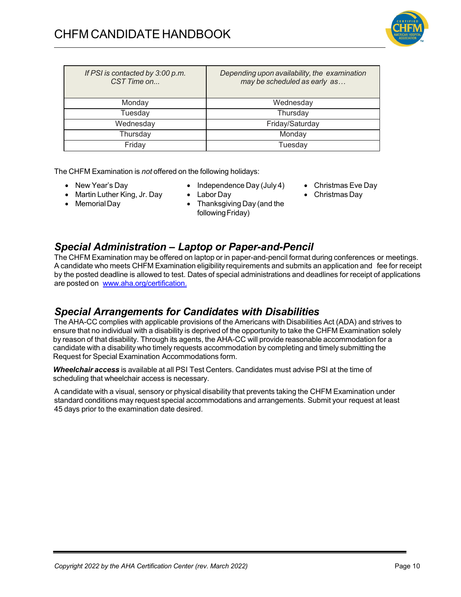

| If PSI is contacted by 3:00 p.m.<br>CST Time on | Depending upon availability, the examination<br>may be scheduled as early as |
|-------------------------------------------------|------------------------------------------------------------------------------|
| Monday                                          | Wednesday                                                                    |
| Tuesday                                         | Thursday                                                                     |
| Wednesday                                       | Friday/Saturday                                                              |
| Thursday                                        | Monday                                                                       |
| Friday                                          | Tuesday                                                                      |

The CHFM Examination is *not* offered on the following holidays:

- 
- New Year's Day Independence Day (July 4) Christmas Eve Day
	-
- 
- Martin Luther King, Jr. Day Labor Day Christmas Day
- 
- Memorial Day  **Thanksgiving Day (and the** following Friday)

### *Special Administration – Laptop or Paper-and-Pencil*

The CHFM Examination may be offered on laptop or in paper-and-pencil format during conferences or meetings. A candidate who meets CHFM Examination eligibility requirements and submits an application and fee for receipt by the posted deadline is allowed to test. Dates of special administrations and deadlines for receipt of applications are posted on [www.aha.org/certification.](http://www.aha.org/certification.) 

### *Special Arrangements for Candidates with Disabilities*

The AHA-CC complies with applicable provisions of the Americans with Disabilities Act (ADA) and strives to ensure that no individual with a disability is deprived of the opportunity to take the CHFM Examination solely by reason of that disability. Through its agents, the AHA-CC will provide reasonable accommodation for a candidate with a disability who timely requests accommodation by completing and timely submitting the Request for Special Examination Accommodations form.

*Wheelchair access* is available at all PSI Test Centers. Candidates must advise PSI at the time of scheduling that wheelchair access is necessary.

A candidate with a visual, sensory or physical disability that prevents taking the CHFM Examination under standard conditions may request special accommodations and arrangements. Submit your request at least 45 days prior to the examination date desired.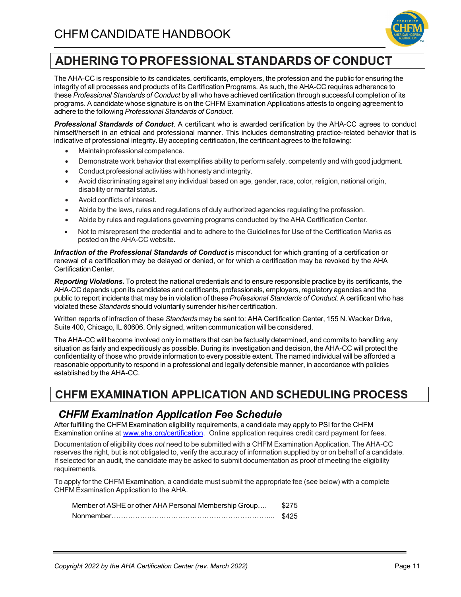

# **ADHERING TO PROFESSIONAL STANDARDS OF CONDUCT**

The AHA-CC is responsible to its candidates, certificants, employers, the profession and the public for ensuring the integrity of all processes and products of its Certification Programs. As such, the AHA-CC requires adherence to these *Professional Standards of Conduct* by all who have achieved certification through successful completion of its programs. A candidate whose signature is on the CHFM Examination Applications attests to ongoing agreement to adhere to the following *Professional Standards of Conduct.*

*Professional Standards of Conduct*. A certificant who is awarded certification by the AHA-CC agrees to conduct himself/herself in an ethical and professional manner. This includes demonstrating practice-related behavior that is indicative of professional integrity. By accepting certification, the certificant agrees to the following:

- Maintain professional competence.
- Demonstrate work behavior that exemplifies ability to perform safely, competently and with good judgment.
- Conduct professional activities with honesty and integrity.
- Avoid discriminating against any individual based on age, gender, race, color, religion, national origin, disability or marital status.
- Avoid conflicts of interest.
- Abide by the laws, rules and regulations of duly authorized agencies regulating the profession.
- Abide by rules and regulations governing programs conducted by the AHA Certification Center.
- Not to misrepresent the credential and to adhere to the Guidelines for Use of the Certification Marks as posted on the AHA-CC website.

*Infraction of the Professional Standards of Conduct* is misconduct for which granting of a certification or renewal of a certification may be delayed or denied, or for which a certification may be revoked by the AHA CertificationCenter.

*Reporting Violations.* To protect the national credentials and to ensure responsible practice by its certificants, the AHA-CC depends upon its candidates and certificants, professionals, employers, regulatory agencies and the public to report incidents that may be in violation of these *Professional Standards of Conduct*. A certificant who has violated these *Standards* should voluntarily surrender his/her certification.

Written reports of infraction of these *Standards* may be sent to: AHA Certification Center, 155 N. Wacker Drive, Suite 400, Chicago, IL 60606. Only signed, written communication will be considered.

The AHA-CC will become involved only in matters that can be factually determined, and commits to handling any situation as fairly and expeditiously as possible. During its investigation and decision, the AHA-CC will protect the confidentiality of those who provide information to every possible extent. The named individual will be afforded a reasonable opportunity to respond in a professional and legally defensible manner, in accordance with policies established by the AHA-CC.

# **CHFM EXAMINATION APPLICATION AND SCHEDULING PROCESS**

### *CHFM Examination Application Fee Schedule*

After fulfilling the CHFM Examination eligibility requirements, a candidate may apply to PSI for the CHFM Examination online a[t www.aha.org/certification.](http://www.aha.org/certification) Online application requires credit card payment for fees.

Documentation of eligibility does *not* need to be submitted with a CHFM Examination Application. The AHA-CC reserves the right, but is not obligated to, verify the accuracy of information supplied by or on behalf of a candidate. If selected for an audit, the candidate may be asked to submit documentation as proof of meeting the eligibility requirements.

To apply for the CHFM Examination, a candidate must submit the appropriate fee (see below) with a complete CHFM Examination Application to the AHA.

| Member of ASHE or other AHA Personal Membership Group \$275 |       |
|-------------------------------------------------------------|-------|
|                                                             | \$425 |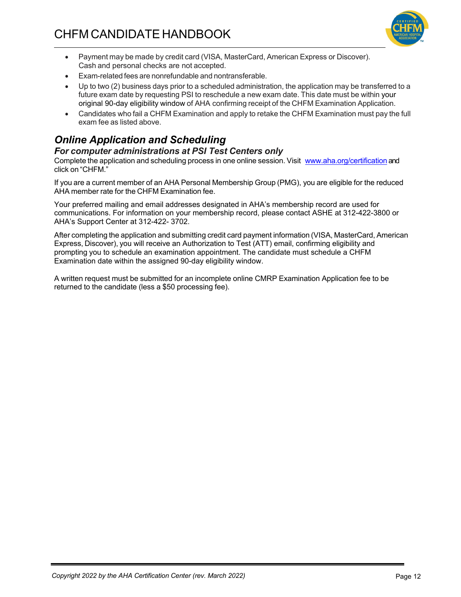

- Payment may be made by credit card (VISA, MasterCard, American Express or Discover). Cash and personal checks are not accepted.
- Exam-related fees are nonrefundable and nontransferable.
- Up to two (2) business days prior to a scheduled administration, the application may be transferred to a future exam date by requesting PSI to reschedule a new exam date. This date must be within your original 90-day eligibility window of AHA confirming receipt of the CHFM Examination Application.
- Candidates who fail a CHFM Examination and apply to retake the CHFM Examination must pay the full exam fee as listed above.

# *Online Application and Scheduling*

#### *For computer administrations at PSI Test Centers only*

Complete the application and scheduling process in one online session. Visit [www.aha.org/certification](http://www.aha.org/certification) and click on "CHFM."

If you are a current member of an AHA Personal Membership Group (PMG), you are eligible for the reduced AHA member rate for the CHFM Examination fee.

Your preferred mailing and email addresses designated in AHA's membership record are used for communications. For information on your membership record, please contact ASHE at 312-422-3800 or AHA's Support Center at 312-422- 3702.

After completing the application and submitting credit card payment information (VISA, MasterCard, American Express, Discover), you will receive an Authorization to Test (ATT) email, confirming eligibility and prompting you to schedule an examination appointment. The candidate must schedule a CHFM Examination date within the assigned 90-day eligibility window.

A written request must be submitted for an incomplete online CMRP Examination Application fee to be returned to the candidate (less a \$50 processing fee).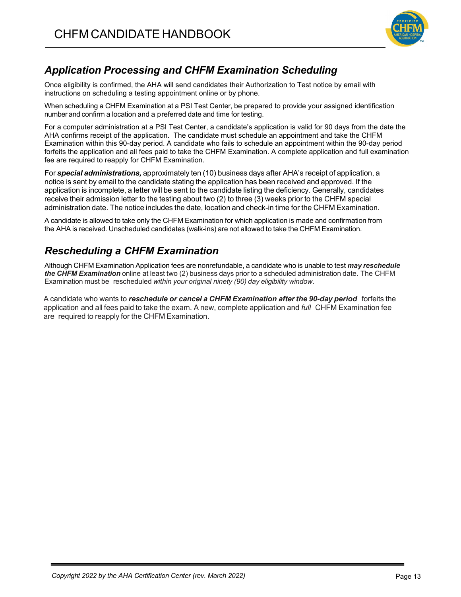

# *Application Processing and CHFM Examination Scheduling*

Once eligibility is confirmed, the AHA will send candidates their Authorization to Test notice by email with instructions on scheduling a testing appointment online or by phone.

When scheduling a CHFM Examination at a PSI Test Center, be prepared to provide your assigned identification number and confirm a location and a preferred date and time for testing.

For a computer administration at a PSI Test Center, a candidate's application is valid for 90 days from the date the AHA confirms receipt of the application. The candidate must schedule an appointment and take the CHFM Examination within this 90-day period. A candidate who fails to schedule an appointment within the 90-day period forfeits the application and all fees paid to take the CHFM Examination. A complete application and full examination fee are required to reapply for CHFM Examination.

For *special administrations,* approximately ten (10) business days after AHA's receipt of application, a notice is sent by email to the candidate stating the application has been received and approved. If the application is incomplete, a letter will be sent to the candidate listing the deficiency. Generally, candidates receive their admission letter to the testing about two (2) to three (3) weeks prior to the CHFM special administration date. The notice includes the date, location and check-in time for the CHFM Examination.

A candidate is allowed to take only the CHFM Examination for which application is made and confirmation from the AHA is received. Unscheduled candidates (walk-ins) are not allowed to take the CHFM Examination.

### *Rescheduling a CHFM Examination*

Although CHFM Examination Application fees are nonrefundable, a candidate who is unable to test *may reschedule the CHFM Examination* online at least two (2) business days prior to a scheduled administration date. The CHFM Examination must be rescheduled *within your original ninety (90) day eligibility window*.

A candidate who wants to *reschedule or cancel a CHFM Examination after the 90-day period* forfeits the application and all fees paid to take the exam. A new, complete application and *full* CHFM Examination fee are required to reapply for the CHFM Examination.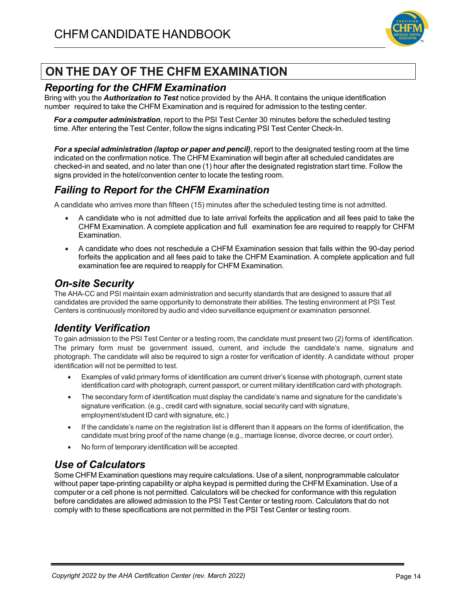

# **ON THE DAY OF THE CHFM EXAMINATION**

### *Reporting for the CHFM Examination*

Bring with you the *Authorization to Test* notice provided by the AHA. It contains the unique identification number required to take the CHFM Examination and is required for admission to the testing center.

*For a computer administration*, report to the PSI Test Center 30 minutes before the scheduled testing time. After entering the Test Center, follow the signs indicating PSI Test Center Check-In.

*For a special administration (laptop or paper and pencil)*, report to the designated testing room at the time indicated on the confirmation notice. The CHFM Examination will begin after all scheduled candidates are checked-in and seated, and no later than one (1) hour after the designated registration start time. Follow the signs provided in the hotel/convention center to locate the testing room.

# *Failing to Report for the CHFM Examination*

A candidate who arrives more than fifteen (15) minutes after the scheduled testing time is not admitted.

- A candidate who is not admitted due to late arrival forfeits the application and all fees paid to take the CHFM Examination. A complete application and full examination fee are required to reapply for CHFM Examination.
- A candidate who does not reschedule a CHFM Examination session that falls within the 90-day period forfeits the application and all fees paid to take the CHFM Examination. A complete application and full examination fee are required to reapply for CHFM Examination.

### *On-site Security*

The AHA-CC and PSI maintain exam administration and security standards that are designed to assure that all candidates are provided the same opportunity to demonstrate their abilities. The testing environment at PSI Test Centers is continuously monitored by audio and video surveillance equipment or examination personnel.

# *Identity Verification*

To gain admission to the PSI Test Center or a testing room, the candidate must present two (2) forms of identification. The primary form must be government issued, current, and include the candidate's name, signature and photograph. The candidate will also be required to sign a roster for verification of identity. A candidate without proper identification will not be permitted to test.

- Examples of valid primary forms of identification are current driver's license with photograph, current state identification card with photograph, current passport, or current military identification card with photograph.
- The secondary form of identification must display the candidate's name and signature for the candidate's signature verification. (e.g., credit card with signature, social security card with signature, employment/student ID card with signature, etc.)
- If the candidate's name on the registration list is different than it appears on the forms of identification, the candidate must bring proof of the name change (e.g., marriage license, divorce decree, or court order).
- No form of temporary identification will be accepted.

# *Use of Calculators*

Some CHFM Examination questions may require calculations. Use of a silent, nonprogrammable calculator without paper tape-printing capability or alpha keypad is permitted during the CHFM Examination. Use of a computer or a cell phone is not permitted. Calculators will be checked for conformance with this regulation before candidates are allowed admission to the PSI Test Center or testing room. Calculators that do not comply with to these specifications are not permitted in the PSI Test Center or testing room.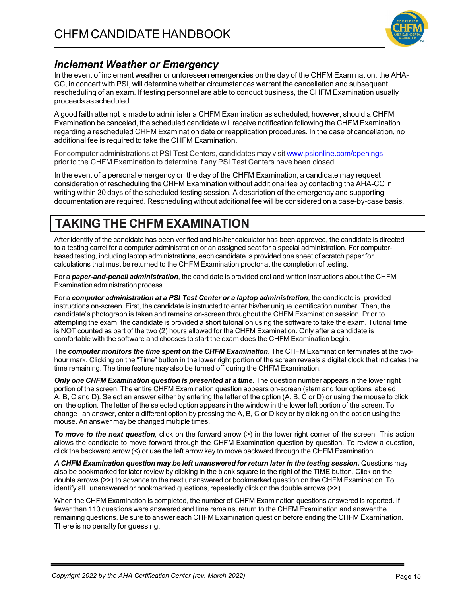

### *Inclement Weather or Emergency*

In the event of inclement weather or unforeseen emergencies on the day of the CHFM Examination, the AHA-CC, in concert with PSI, will determine whether circumstances warrant the cancellation and subsequent rescheduling of an exam. If testing personnel are able to conduct business, the CHFM Examination usually proceeds as scheduled.

A good faith attempt is made to administer a CHFM Examination as scheduled; however, should a CHFM Examination be canceled, the scheduled candidate will receive notification following the CHFM Examination regarding a rescheduled CHFM Examination date or reapplication procedures. In the case of cancellation, no additional fee is required to take the CHFM Examination.

For computer administrations at PSI Test Centers, candidates may visit [www.psionline.com/openings](http://www.psionline.com/openings) prior to the CHFM Examination to determine if any PSI Test Centers have been closed.

In the event of a personal emergency on the day of the CHFM Examination, a candidate may request consideration of rescheduling the CHFM Examination without additional fee by contacting the AHA-CC in writing within 30 days of the scheduled testing session. A description of the emergency and supporting documentation are required. Rescheduling without additional fee will be considered on a case-by-case basis.

# **TAKING THE CHFM EXAMINATION**

After identity of the candidate has been verified and his/her calculator has been approved, the candidate is directed to a testing carrel for a computer administration or an assigned seat for a special administration. For computerbased testing, including laptop administrations, each candidate is provided one sheet of scratch paper for calculations that must be returned to the CHFM Examination proctor at the completion of testing.

For a *paper-and-pencil administration*, the candidate is provided oral and written instructions about the CHFM Examination administration process.

For a *computer administration at a PSI Test Center or a laptop administration*, the candidate is provided instructions on-screen. First, the candidate is instructed to enter his/her unique identification number. Then, the candidate's photograph is taken and remains on-screen throughout the CHFM Examination session. Prior to attempting the exam, the candidate is provided a short tutorial on using the software to take the exam. Tutorial time is NOT counted as part of the two (2) hours allowed for the CHFM Examination. Only after a candidate is comfortable with the software and chooses to start the exam does the CHFM Examination begin.

The *computer monitors the time spent on the CHFM Examination*. The CHFM Examination terminates at the twohour mark. Clicking on the "Time" button in the lower right portion of the screen reveals a digital clock that indicates the time remaining. The time feature may also be turned off during the CHFM Examination.

*Only one CHFM Examination question is presented at a time*. The question number appears in the lower right portion of the screen. The entire CHFM Examination question appears on-screen (stem and four options labeled A, B, C and D). Select an answer either by entering the letter of the option (A, B, C or D) or using the mouse to click on the option. The letter of the selected option appears in the window in the lower left portion of the screen. To change an answer, enter a different option by pressing the A, B, C or D key or by clicking on the option using the mouse. An answer may be changed multiple times.

*To move to the next question*, click on the forward arrow (>) in the lower right corner of the screen. This action allows the candidate to move forward through the CHFM Examination question by question. To review a question, click the backward arrow (<) or use the left arrow key to move backward through the CHFM Examination.

*A CHFM Examination question may be left unanswered for return later in the testing session.* Questions may also be bookmarked for later review by clicking in the blank square to the right of the TIME button. Click on the double arrows (>>) to advance to the next unanswered or bookmarked question on the CHFM Examination. To identify all unanswered or bookmarked questions, repeatedly click on the double arrows (>>).

When the CHFM Examination is completed, the number of CHFM Examination questions answered is reported. If fewer than 110 questions were answered and time remains, return to the CHFM Examination and answer the remaining questions. Be sure to answer each CHFM Examination question before ending the CHFM Examination. There is no penalty for guessing.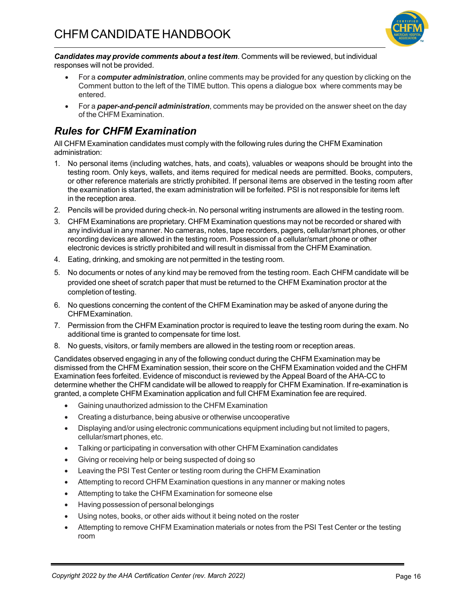

*Candidates may provide comments about a test item*. Comments will be reviewed, but individual responses will not be provided.

- For a *computer administration*, online comments may be provided for any question by clicking on the Comment button to the left of the TIME button. This opens a dialogue box where comments may be entered.
- For a *paper-and-pencil administration*, comments may be provided on the answer sheet on the day of the CHFM Examination.

# *Rules for CHFM Examination*

All CHFM Examination candidates must comply with the following rules during the CHFM Examination administration:

- 1. No personal items (including watches, hats, and coats), valuables or weapons should be brought into the testing room. Only keys, wallets, and items required for medical needs are permitted. Books, computers, or other reference materials are strictly prohibited. If personal items are observed in the testing room after the examination is started, the exam administration will be forfeited. PSI is not responsible for items left in the reception area.
- 2. Pencils will be provided during check-in. No personal writing instruments are allowed in the testing room.
- 3. CHFM Examinations are proprietary. CHFM Examination questions may not be recorded or shared with any individual in any manner. No cameras, notes, tape recorders, pagers, cellular/smart phones, or other recording devices are allowed in the testing room. Possession of a cellular/smart phone or other electronic devices is strictly prohibited and will result in dismissal from the CHFM Examination.
- 4. Eating, drinking, and smoking are not permitted in the testing room.
- 5. No documents or notes of any kind may be removed from the testing room. Each CHFM candidate will be provided one sheet of scratch paper that must be returned to the CHFM Examination proctor at the completion of testing.
- 6. No questions concerning the content of the CHFM Examination may be asked of anyone during the CHFMExamination.
- 7. Permission from the CHFM Examination proctor is required to leave the testing room during the exam. No additional time is granted to compensate for time lost.
- 8. No guests, visitors, or family members are allowed in the testing room or reception areas.

Candidates observed engaging in any of the following conduct during the CHFM Examination may be dismissed from the CHFM Examination session, their score on the CHFM Examination voided and the CHFM Examination fees forfeited. Evidence of misconduct is reviewed by the Appeal Board of the AHA-CC to determine whether the CHFM candidate will be allowed to reapply for CHFM Examination. If re-examination is granted, a complete CHFM Examination application and full CHFM Examination fee are required.

- Gaining unauthorized admission to the CHFM Examination
- Creating a disturbance, being abusive or otherwise uncooperative
- Displaying and/or using electronic communications equipment including but not limited to pagers, cellular/smart phones, etc.
- Talking or participating in conversation with other CHFM Examination candidates
- Giving or receiving help or being suspected of doing so
- Leaving the PSI Test Center or testing room during the CHFM Examination
- Attempting to record CHFM Examination questions in any manner or making notes
- Attempting to take the CHFM Examination for someone else
- Having possession of personal belongings
- Using notes, books, or other aids without it being noted on the roster
- Attempting to remove CHFM Examination materials or notes from the PSI Test Center or the testing room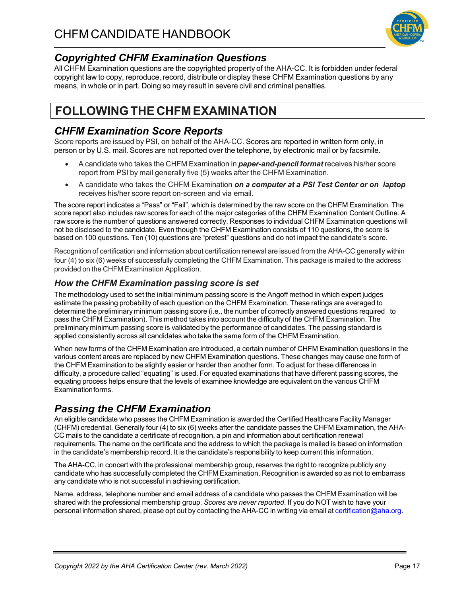

### *Copyrighted CHFM Examination Questions*

All CHFM Examination questions are the copyrighted property of the AHA-CC. It is forbidden under federal copyright law to copy, reproduce, record, distribute or display these CHFM Examination questions by any means, in whole or in part. Doing so may result in severe civil and criminal penalties.

# **FOLLOWINGTHE CHFM EXAMINATION**

### *CHFM Examination Score Reports*

Score reports are issued by PSI, on behalf of the AHA-CC. Scores are reported in written form only, in person or by U.S. mail. Scores are not reported over the telephone, by electronic mail or by facsimile.

- A candidate who takes the CHFM Examination in *paper-and-pencil format* receives his/her score report from PSI by mail generally five (5) weeks after the CHFM Examination.
- A candidate who takes the CHFM Examination *on a computer at a PSI Test Center or on laptop* receives his/her score report on-screen and via email.

The score report indicates a "Pass" or "Fail", which is determined by the raw score on the CHFM Examination. The score report also includes raw scores for each of the major categories of the CHFM Examination Content Outline. A raw score is the number of questions answered correctly. Responses to individual CHFM Examination questions will not be disclosed to the candidate. Even though the CHFM Examination consists of 110 questions, the score is based on 100 questions. Ten (10) questions are "pretest" questions and do not impact the candidate's score.

Recognition of certification and information about certification renewal are issued from the AHA-CC generally within four (4) to six (6) weeks of successfully completing the CHFM Examination. This package is mailed to the address provided on the CHFM Examination Application.

### *How the CHFM Examination passing score is set*

The methodology used to set the initial minimum passing score is the Angoff method in which expert judges estimate the passing probability of each question on the CHFM Examination. These ratings are averaged to determine the preliminary minimum passing score (i.e., the number of correctly answered questions required to pass the CHFM Examination). This method takes into account the difficulty of the CHFM Examination. The preliminary minimum passing score is validated by the performance of candidates. The passing standard is applied consistently across all candidates who take the same form of the CHFM Examination.

When new forms of the CHFM Examination are introduced, a certain number of CHFM Examination questions in the various content areas are replaced by new CHFM Examination questions. These changes may cause one form of the CHFM Examination to be slightly easier or harder than another form. To adjust for these differences in difficulty, a procedure called "equating" is used. For equated examinations that have different passing scores, the equating process helps ensure that the levels of examinee knowledge are equivalent on the various CHFM Examinationforms.

# *Passing the CHFM Examination*

An eligible candidate who passes the CHFM Examination is awarded the Certified Healthcare Facility Manager (CHFM) credential. Generally four (4) to six (6) weeks after the candidate passes the CHFM Examination, the AHA-CC mails to the candidate a certificate of recognition, a pin and information about certification renewal requirements. The name on the certificate and the address to which the package is mailed is based on information in the candidate's membership record. It is the candidate's responsibility to keep current this information.

The AHA-CC, in concert with the professional membership group, reserves the right to recognize publicly any candidate who has successfully completed the CHFM Examination. Recognition is awarded so as not to embarrass any candidate who is not successful in achieving certification.

Name, address, telephone number and email address of a candidate who passes the CHFM Examination will be shared with the professional membership group. *Scores are never reported*. If you do NOT wish to have your personal information shared, please opt out by contacting the AHA-CC in writing via email at [certification@aha.org.](mailto:certification@aha.org)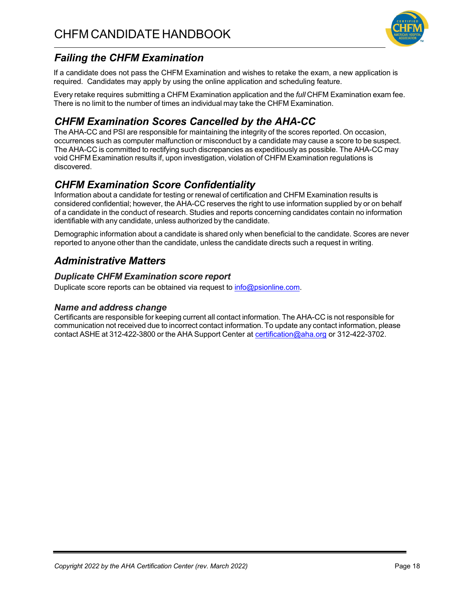

# *Failing the CHFM Examination*

If a candidate does not pass the CHFM Examination and wishes to retake the exam, a new application is required. Candidates may apply by using the online application and scheduling feature.

Every retake requires submitting a CHFM Examination application and the *full* CHFM Examination exam fee. There is no limit to the number of times an individual may take the CHFM Examination.

# *CHFM Examination Scores Cancelled by the AHA-CC*

The AHA-CC and PSI are responsible for maintaining the integrity of the scores reported. On occasion, occurrences such as computer malfunction or misconduct by a candidate may cause a score to be suspect. The AHA-CC is committed to rectifying such discrepancies as expeditiously as possible. The AHA-CC may void CHFM Examination results if, upon investigation, violation of CHFM Examination regulations is discovered.

# *CHFM Examination Score Confidentiality*

Information about a candidate for testing or renewal of certification and CHFM Examination results is considered confidential; however, the AHA-CC reserves the right to use information supplied by or on behalf of a candidate in the conduct of research. Studies and reports concerning candidates contain no information identifiable with any candidate, unless authorized by the candidate.

Demographic information about a candidate is shared only when beneficial to the candidate. Scores are never reported to anyone other than the candidate, unless the candidate directs such a request in writing.

# *Administrative Matters*

### *Duplicate CHFM Examination score report*

Duplicate score reports can be obtained via request t[o info@psionline.com.](mailto:info@psionline.com)

#### *Name and address change*

Certificants are responsible for keeping current all contact information. The AHA-CC is not responsible for communication not received due to incorrect contact information. To update any contact information, please contact ASHE at 312-422-3800 or the AHA Support Center at [certification@aha.org](mailto:certification@aha.org) or 312-422-3702.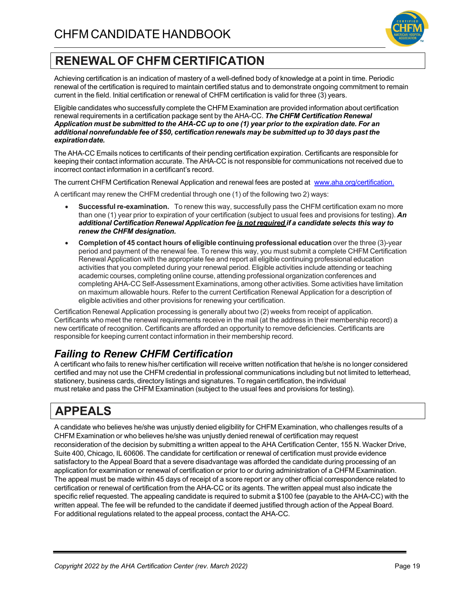

# **RENEWAL OF CHFM CERTIFICATION**

Achieving certification is an indication of mastery of a well-defined body of knowledge at a point in time. Periodic renewal of the certification is required to maintain certified status and to demonstrate ongoing commitment to remain current in the field. Initial certification or renewal of CHFM certification is valid for three (3) years.

Eligible candidates who successfully complete the CHFM Examination are provided information about certification renewal requirements in a certification package sent by the AHA-CC. *The CHFM Certification Renewal* Application must be submitted to the AHA-CC up to one (1) year prior to the expiration date. For an *additional nonrefundable fee of \$50, certification renewals may be submitted up to 30 days past the expirationdate.*

The AHA-CC Emails notices to certificants of their pending certification expiration. Certificants are responsible for keeping their contact information accurate. The AHA-CC is not responsible for communications not received due to incorrect contact information in a certificant's record.

The current CHFM Certification Renewal Application and renewal fees are posted at [www.aha.org/certification.](http://www.aha.org/certification.)

A certificant may renew the CHFM credential through one (1) of the following two 2) ways:

- **Successful re-examination.** To renew this way, successfully pass the CHFM certification exam no more than one (1) year prior to expiration of your certification (subject to usual fees and provisions for testing). *An additional Certification Renewal Application fee is not required if a candidate selects this way to renew the CHFM designation.*
- **Completion of 45 contact hours of eligible continuing professional education** over the three (3)-year period and payment of the renewal fee. To renew this way, you must submit a complete CHFM Certification Renewal Application with the appropriate fee and report all eligible continuing professional education activities that you completed during your renewal period. Eligible activities include attending or teaching academic courses, completing online course, attending professional organization conferences and completingAHA-CC Self-Assessment Examinations, among other activities. Some activities have limitation on maximum allowable hours. Refer to the current Certification Renewal Application for a description of eligible activities and other provisions for renewing your certification.

Certification Renewal Application processing is generally about two (2) weeks from receipt of application. Certificants who meet the renewal requirements receive in the mail (at the address in their membership record) a new certificate of recognition. Certificants are afforded an opportunity to remove deficiencies. Certificants are responsible for keeping current contact information in their membership record.

# *Failing to Renew CHFM Certification*

A certificant who fails to renew his/her certification will receive written notification that he/she is no longer considered certified and may not use the CHFM credential in professional communications including but not limited to letterhead, stationery, business cards, directory listings and signatures. To regain certification, the individual must retake and pass the CHFM Examination (subject to the usual fees and provisions for testing).

# **APPEALS**

A candidate who believes he/she was unjustly denied eligibility for CHFM Examination, who challenges results of a CHFM Examination or who believes he/she was unjustly denied renewal of certification may request reconsideration of the decision by submitting a written appeal to the AHA Certification Center, 155 N. Wacker Drive, Suite 400, Chicago, IL 60606. The candidate for certification or renewal of certification must provide evidence satisfactory to the Appeal Board that a severe disadvantage was afforded the candidate during processing of an application for examination or renewal of certification or prior to or during administration of a CHFM Examination. The appeal must be made within 45 days of receipt of a score report or any other official correspondence related to certification or renewal of certification from the AHA-CC or its agents. The written appeal must also indicate the specific relief requested. The appealing candidate is required to submit a \$100 fee (payable to the AHA-CC) with the written appeal. The fee will be refunded to the candidate if deemed justified through action of the Appeal Board. For additional regulations related to the appeal process, contact the AHA-CC.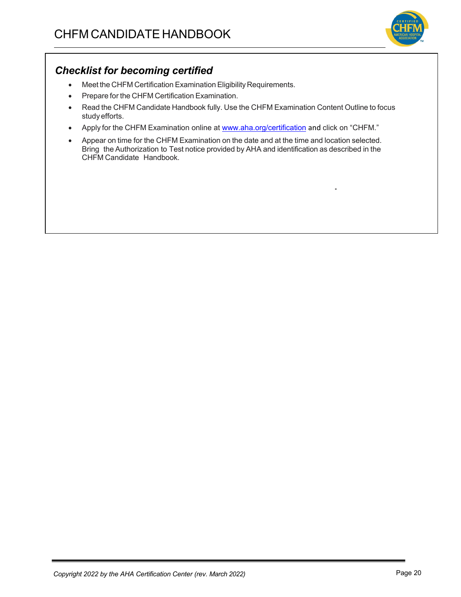

## *Checklist for becoming certified*

- Meet the CHFM Certification Examination Eligibility Requirements.
- Prepare for the CHFM Certification Examination.
- Read the CHFM Candidate Handbook fully. Use the CHFM Examination Content Outline to focus studyefforts.
- Apply for the CHFM Examination online at [www.aha.org/certification](http://www.aha.org/certification) and click on "CHFM."
- Appear on time for the CHFM Examination on the date and at the time and location selected. Bring the Authorization to Test notice provided by AHA and identification as described in the CHFM Candidate Handbook.